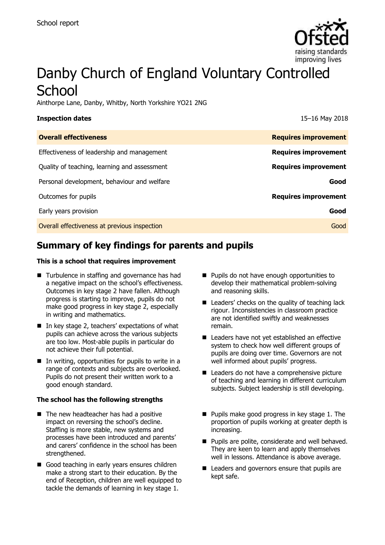

# Danby Church of England Voluntary Controlled **School**

Ainthorpe Lane, Danby, Whitby, North Yorkshire YO21 2NG

| <b>Inspection dates</b>                      | 15-16 May 2018              |
|----------------------------------------------|-----------------------------|
| <b>Overall effectiveness</b>                 | <b>Requires improvement</b> |
| Effectiveness of leadership and management   | <b>Requires improvement</b> |
| Quality of teaching, learning and assessment | <b>Requires improvement</b> |
| Personal development, behaviour and welfare  | Good                        |
| Outcomes for pupils                          | <b>Requires improvement</b> |
| Early years provision                        | Good                        |
| Overall effectiveness at previous inspection | Good                        |

# **Summary of key findings for parents and pupils**

#### **This is a school that requires improvement**

- Turbulence in staffing and governance has had a negative impact on the school's effectiveness. Outcomes in key stage 2 have fallen. Although progress is starting to improve, pupils do not make good progress in key stage 2, especially in writing and mathematics.
- In key stage 2, teachers' expectations of what pupils can achieve across the various subjects are too low. Most-able pupils in particular do not achieve their full potential.
- $\blacksquare$  In writing, opportunities for pupils to write in a range of contexts and subjects are overlooked. Pupils do not present their written work to a good enough standard.

#### **The school has the following strengths**

- The new headteacher has had a positive impact on reversing the school's decline. Staffing is more stable, new systems and processes have been introduced and parents' and carers' confidence in the school has been strengthened.
- Good teaching in early years ensures children make a strong start to their education. By the end of Reception, children are well equipped to tackle the demands of learning in key stage 1.
- **Pupils do not have enough opportunities to** develop their mathematical problem-solving and reasoning skills.
- Leaders' checks on the quality of teaching lack rigour. Inconsistencies in classroom practice are not identified swiftly and weaknesses remain.
- Leaders have not yet established an effective system to check how well different groups of pupils are doing over time. Governors are not well informed about pupils' progress.
- Leaders do not have a comprehensive picture of teaching and learning in different curriculum subjects. Subject leadership is still developing.
- $\blacksquare$  Pupils make good progress in key stage 1. The proportion of pupils working at greater depth is increasing.
- **Pupils are polite, considerate and well behaved.** They are keen to learn and apply themselves well in lessons. Attendance is above average.
- Leaders and governors ensure that pupils are kept safe.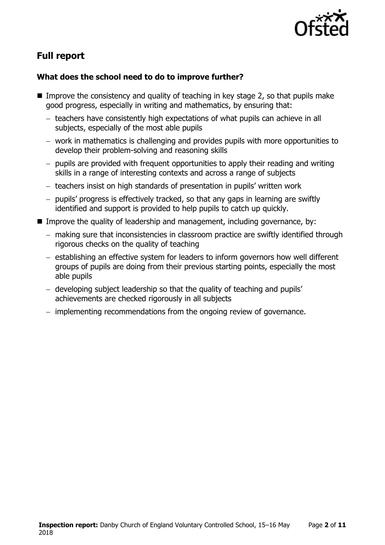

# **Full report**

### **What does the school need to do to improve further?**

- Improve the consistency and quality of teaching in key stage 2, so that pupils make good progress, especially in writing and mathematics, by ensuring that:
	- teachers have consistently high expectations of what pupils can achieve in all subjects, especially of the most able pupils
	- work in mathematics is challenging and provides pupils with more opportunities to develop their problem-solving and reasoning skills
	- pupils are provided with frequent opportunities to apply their reading and writing skills in a range of interesting contexts and across a range of subjects
	- teachers insist on high standards of presentation in pupils' written work
	- pupils' progress is effectively tracked, so that any gaps in learning are swiftly identified and support is provided to help pupils to catch up quickly.
- Improve the quality of leadership and management, including governance, by:
	- making sure that inconsistencies in classroom practice are swiftly identified through rigorous checks on the quality of teaching
	- establishing an effective system for leaders to inform governors how well different groups of pupils are doing from their previous starting points, especially the most able pupils
	- developing subject leadership so that the quality of teaching and pupils' achievements are checked rigorously in all subjects
	- implementing recommendations from the ongoing review of governance.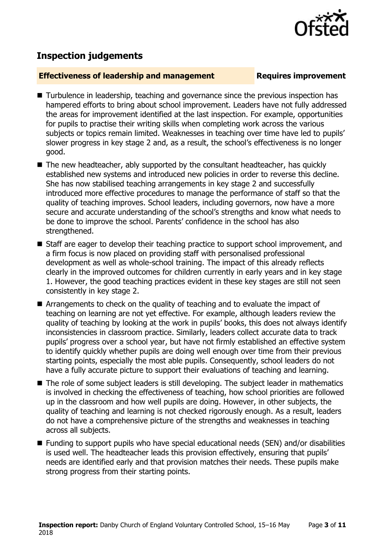

## **Inspection judgements**

#### **Effectiveness of leadership and management Requires improvement**

- Turbulence in leadership, teaching and governance since the previous inspection has hampered efforts to bring about school improvement. Leaders have not fully addressed the areas for improvement identified at the last inspection. For example, opportunities for pupils to practise their writing skills when completing work across the various subjects or topics remain limited. Weaknesses in teaching over time have led to pupils' slower progress in key stage 2 and, as a result, the school's effectiveness is no longer good.
- $\blacksquare$  The new headteacher, ably supported by the consultant headteacher, has quickly established new systems and introduced new policies in order to reverse this decline. She has now stabilised teaching arrangements in key stage 2 and successfully introduced more effective procedures to manage the performance of staff so that the quality of teaching improves. School leaders, including governors, now have a more secure and accurate understanding of the school's strengths and know what needs to be done to improve the school. Parents' confidence in the school has also strengthened.
- Staff are eager to develop their teaching practice to support school improvement, and a firm focus is now placed on providing staff with personalised professional development as well as whole-school training. The impact of this already reflects clearly in the improved outcomes for children currently in early years and in key stage 1. However, the good teaching practices evident in these key stages are still not seen consistently in key stage 2.
- Arrangements to check on the quality of teaching and to evaluate the impact of teaching on learning are not yet effective. For example, although leaders review the quality of teaching by looking at the work in pupils' books, this does not always identify inconsistencies in classroom practice. Similarly, leaders collect accurate data to track pupils' progress over a school year, but have not firmly established an effective system to identify quickly whether pupils are doing well enough over time from their previous starting points, especially the most able pupils. Consequently, school leaders do not have a fully accurate picture to support their evaluations of teaching and learning.
- The role of some subject leaders is still developing. The subject leader in mathematics is involved in checking the effectiveness of teaching, how school priorities are followed up in the classroom and how well pupils are doing. However, in other subjects, the quality of teaching and learning is not checked rigorously enough. As a result, leaders do not have a comprehensive picture of the strengths and weaknesses in teaching across all subjects.
- Funding to support pupils who have special educational needs (SEN) and/or disabilities is used well. The headteacher leads this provision effectively, ensuring that pupils' needs are identified early and that provision matches their needs. These pupils make strong progress from their starting points.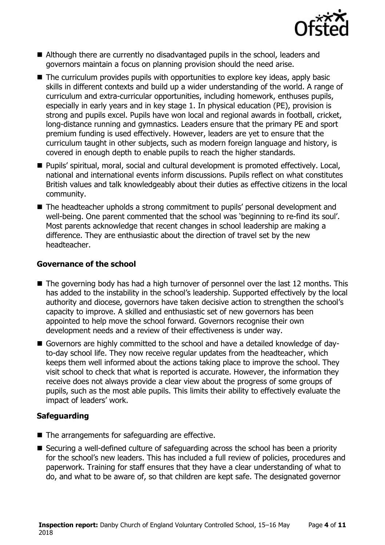

- Although there are currently no disadvantaged pupils in the school, leaders and governors maintain a focus on planning provision should the need arise.
- The curriculum provides pupils with opportunities to explore key ideas, apply basic skills in different contexts and build up a wider understanding of the world. A range of curriculum and extra-curricular opportunities, including homework, enthuses pupils, especially in early years and in key stage 1. In physical education (PE), provision is strong and pupils excel. Pupils have won local and regional awards in football, cricket, long-distance running and gymnastics. Leaders ensure that the primary PE and sport premium funding is used effectively. However, leaders are yet to ensure that the curriculum taught in other subjects, such as modern foreign language and history, is covered in enough depth to enable pupils to reach the higher standards.
- Pupils' spiritual, moral, social and cultural development is promoted effectively. Local, national and international events inform discussions. Pupils reflect on what constitutes British values and talk knowledgeably about their duties as effective citizens in the local community.
- The headteacher upholds a strong commitment to pupils' personal development and well-being. One parent commented that the school was 'beginning to re-find its soul'. Most parents acknowledge that recent changes in school leadership are making a difference. They are enthusiastic about the direction of travel set by the new headteacher.

#### **Governance of the school**

- The governing body has had a high turnover of personnel over the last 12 months. This has added to the instability in the school's leadership. Supported effectively by the local authority and diocese, governors have taken decisive action to strengthen the school's capacity to improve. A skilled and enthusiastic set of new governors has been appointed to help move the school forward. Governors recognise their own development needs and a review of their effectiveness is under way.
- Governors are highly committed to the school and have a detailed knowledge of dayto-day school life. They now receive regular updates from the headteacher, which keeps them well informed about the actions taking place to improve the school. They visit school to check that what is reported is accurate. However, the information they receive does not always provide a clear view about the progress of some groups of pupils, such as the most able pupils. This limits their ability to effectively evaluate the impact of leaders' work.

### **Safeguarding**

- $\blacksquare$  The arrangements for safeguarding are effective.
- Securing a well-defined culture of safeguarding across the school has been a priority for the school's new leaders. This has included a full review of policies, procedures and paperwork. Training for staff ensures that they have a clear understanding of what to do, and what to be aware of, so that children are kept safe. The designated governor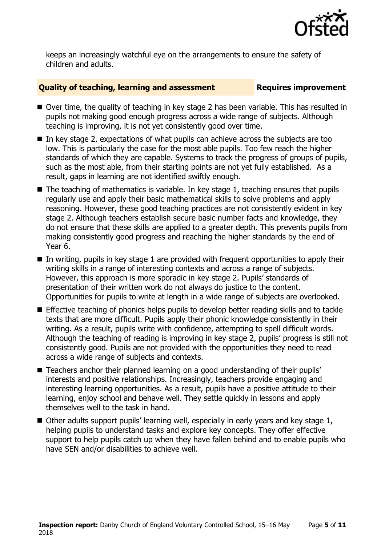

keeps an increasingly watchful eye on the arrangements to ensure the safety of children and adults.

### **Quality of teaching, learning and assessment Requires improvement**

- Over time, the quality of teaching in key stage 2 has been variable. This has resulted in pupils not making good enough progress across a wide range of subjects. Although teaching is improving, it is not yet consistently good over time.
- In key stage 2, expectations of what pupils can achieve across the subjects are too low. This is particularly the case for the most able pupils. Too few reach the higher standards of which they are capable. Systems to track the progress of groups of pupils, such as the most able, from their starting points are not yet fully established. As a result, gaps in learning are not identified swiftly enough.
- $\blacksquare$  The teaching of mathematics is variable. In key stage 1, teaching ensures that pupils regularly use and apply their basic mathematical skills to solve problems and apply reasoning. However, these good teaching practices are not consistently evident in key stage 2. Although teachers establish secure basic number facts and knowledge, they do not ensure that these skills are applied to a greater depth. This prevents pupils from making consistently good progress and reaching the higher standards by the end of Year 6.
- In writing, pupils in key stage 1 are provided with frequent opportunities to apply their writing skills in a range of interesting contexts and across a range of subjects. However, this approach is more sporadic in key stage 2. Pupils' standards of presentation of their written work do not always do justice to the content. Opportunities for pupils to write at length in a wide range of subjects are overlooked.
- **Effective teaching of phonics helps pupils to develop better reading skills and to tackle** texts that are more difficult. Pupils apply their phonic knowledge consistently in their writing. As a result, pupils write with confidence, attempting to spell difficult words. Although the teaching of reading is improving in key stage 2, pupils' progress is still not consistently good. Pupils are not provided with the opportunities they need to read across a wide range of subjects and contexts.
- Teachers anchor their planned learning on a good understanding of their pupils' interests and positive relationships. Increasingly, teachers provide engaging and interesting learning opportunities. As a result, pupils have a positive attitude to their learning, enjoy school and behave well. They settle quickly in lessons and apply themselves well to the task in hand.
- Other adults support pupils' learning well, especially in early years and key stage 1, helping pupils to understand tasks and explore key concepts. They offer effective support to help pupils catch up when they have fallen behind and to enable pupils who have SEN and/or disabilities to achieve well.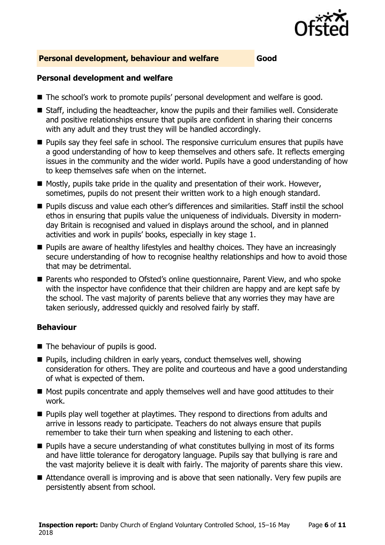

#### **Personal development, behaviour and welfare Good**

#### **Personal development and welfare**

- The school's work to promote pupils' personal development and welfare is good.
- Staff, including the headteacher, know the pupils and their families well. Considerate and positive relationships ensure that pupils are confident in sharing their concerns with any adult and they trust they will be handled accordingly.
- **Pupils say they feel safe in school. The responsive curriculum ensures that pupils have** a good understanding of how to keep themselves and others safe. It reflects emerging issues in the community and the wider world. Pupils have a good understanding of how to keep themselves safe when on the internet.
- $\blacksquare$  Mostly, pupils take pride in the quality and presentation of their work. However, sometimes, pupils do not present their written work to a high enough standard.
- **Pupils discuss and value each other's differences and similarities. Staff instil the school** ethos in ensuring that pupils value the uniqueness of individuals. Diversity in modernday Britain is recognised and valued in displays around the school, and in planned activities and work in pupils' books, especially in key stage 1.
- **Pupils are aware of healthy lifestyles and healthy choices. They have an increasingly** secure understanding of how to recognise healthy relationships and how to avoid those that may be detrimental.
- Parents who responded to Ofsted's online questionnaire, Parent View, and who spoke with the inspector have confidence that their children are happy and are kept safe by the school. The vast majority of parents believe that any worries they may have are taken seriously, addressed quickly and resolved fairly by staff.

### **Behaviour**

- The behaviour of pupils is good.
- **Pupils, including children in early years, conduct themselves well, showing** consideration for others. They are polite and courteous and have a good understanding of what is expected of them.
- Most pupils concentrate and apply themselves well and have good attitudes to their work.
- **Pupils play well together at playtimes. They respond to directions from adults and** arrive in lessons ready to participate. Teachers do not always ensure that pupils remember to take their turn when speaking and listening to each other.
- Pupils have a secure understanding of what constitutes bullying in most of its forms and have little tolerance for derogatory language. Pupils say that bullying is rare and the vast majority believe it is dealt with fairly. The majority of parents share this view.
- Attendance overall is improving and is above that seen nationally. Very few pupils are persistently absent from school.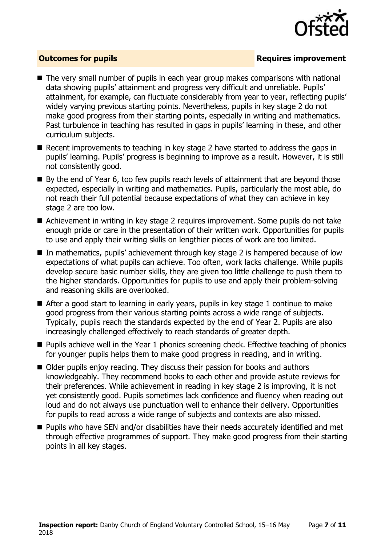

### **Outcomes for pupils Requires improvement**

- The very small number of pupils in each year group makes comparisons with national data showing pupils' attainment and progress very difficult and unreliable. Pupils' attainment, for example, can fluctuate considerably from year to year, reflecting pupils' widely varying previous starting points. Nevertheless, pupils in key stage 2 do not make good progress from their starting points, especially in writing and mathematics. Past turbulence in teaching has resulted in gaps in pupils' learning in these, and other curriculum subjects.
- Recent improvements to teaching in key stage 2 have started to address the gaps in pupils' learning. Pupils' progress is beginning to improve as a result. However, it is still not consistently good.
- By the end of Year 6, too few pupils reach levels of attainment that are beyond those expected, especially in writing and mathematics. Pupils, particularly the most able, do not reach their full potential because expectations of what they can achieve in key stage 2 are too low.
- Achievement in writing in key stage 2 requires improvement. Some pupils do not take enough pride or care in the presentation of their written work. Opportunities for pupils to use and apply their writing skills on lengthier pieces of work are too limited.
- In mathematics, pupils' achievement through key stage 2 is hampered because of low expectations of what pupils can achieve. Too often, work lacks challenge. While pupils develop secure basic number skills, they are given too little challenge to push them to the higher standards. Opportunities for pupils to use and apply their problem-solving and reasoning skills are overlooked.
- After a good start to learning in early years, pupils in key stage 1 continue to make good progress from their various starting points across a wide range of subjects. Typically, pupils reach the standards expected by the end of Year 2. Pupils are also increasingly challenged effectively to reach standards of greater depth.
- **Pupils achieve well in the Year 1 phonics screening check. Effective teaching of phonics** for younger pupils helps them to make good progress in reading, and in writing.
- Older pupils enjoy reading. They discuss their passion for books and authors knowledgeably. They recommend books to each other and provide astute reviews for their preferences. While achievement in reading in key stage 2 is improving, it is not yet consistently good. Pupils sometimes lack confidence and fluency when reading out loud and do not always use punctuation well to enhance their delivery. Opportunities for pupils to read across a wide range of subjects and contexts are also missed.
- **Pupils who have SEN and/or disabilities have their needs accurately identified and met** through effective programmes of support. They make good progress from their starting points in all key stages.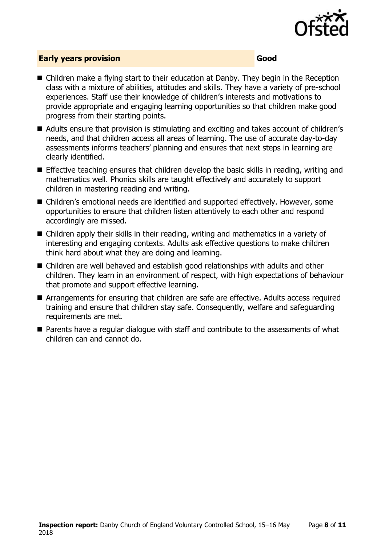

### **Early years provision Good**

- Children make a flying start to their education at Danby. They begin in the Reception class with a mixture of abilities, attitudes and skills. They have a variety of pre-school experiences. Staff use their knowledge of children's interests and motivations to provide appropriate and engaging learning opportunities so that children make good progress from their starting points.
- Adults ensure that provision is stimulating and exciting and takes account of children's needs, and that children access all areas of learning. The use of accurate day-to-day assessments informs teachers' planning and ensures that next steps in learning are clearly identified.
- **Effective teaching ensures that children develop the basic skills in reading, writing and** mathematics well. Phonics skills are taught effectively and accurately to support children in mastering reading and writing.
- Children's emotional needs are identified and supported effectively. However, some opportunities to ensure that children listen attentively to each other and respond accordingly are missed.
- Children apply their skills in their reading, writing and mathematics in a variety of interesting and engaging contexts. Adults ask effective questions to make children think hard about what they are doing and learning.
- Children are well behaved and establish good relationships with adults and other children. They learn in an environment of respect, with high expectations of behaviour that promote and support effective learning.
- Arrangements for ensuring that children are safe are effective. Adults access required training and ensure that children stay safe. Consequently, welfare and safeguarding requirements are met.
- Parents have a regular dialogue with staff and contribute to the assessments of what children can and cannot do.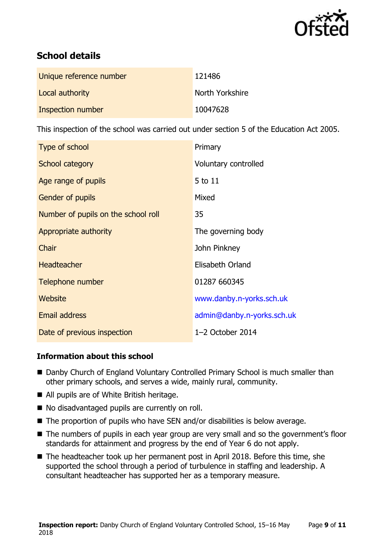

# **School details**

| Unique reference number | 121486          |
|-------------------------|-----------------|
| Local authority         | North Yorkshire |
| Inspection number       | 10047628        |

This inspection of the school was carried out under section 5 of the Education Act 2005.

| Type of school                      | Primary                    |
|-------------------------------------|----------------------------|
| School category                     | Voluntary controlled       |
| Age range of pupils                 | 5 to 11                    |
| Gender of pupils                    | Mixed                      |
| Number of pupils on the school roll | 35                         |
| Appropriate authority               | The governing body         |
| Chair                               | John Pinkney               |
| <b>Headteacher</b>                  | Elisabeth Orland           |
| Telephone number                    | 01287 660345               |
| <b>Website</b>                      | www.danby.n-yorks.sch.uk   |
| <b>Email address</b>                | admin@danby.n-yorks.sch.uk |
| Date of previous inspection         | $1-2$ October 2014         |

### **Information about this school**

- Danby Church of England Voluntary Controlled Primary School is much smaller than other primary schools, and serves a wide, mainly rural, community.
- All pupils are of White British heritage.
- No disadvantaged pupils are currently on roll.
- The proportion of pupils who have SEN and/or disabilities is below average.
- The numbers of pupils in each year group are very small and so the government's floor standards for attainment and progress by the end of Year 6 do not apply.
- The headteacher took up her permanent post in April 2018. Before this time, she supported the school through a period of turbulence in staffing and leadership. A consultant headteacher has supported her as a temporary measure.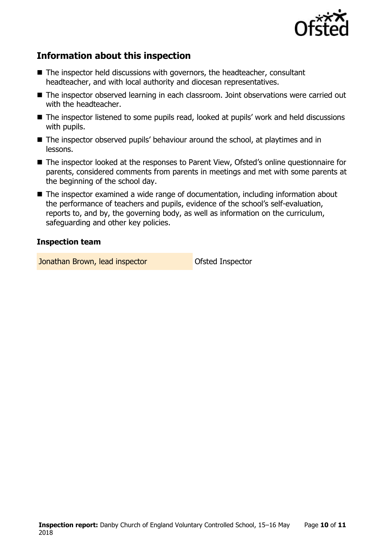

# **Information about this inspection**

- The inspector held discussions with governors, the headteacher, consultant headteacher, and with local authority and diocesan representatives.
- The inspector observed learning in each classroom. Joint observations were carried out with the headteacher.
- The inspector listened to some pupils read, looked at pupils' work and held discussions with pupils.
- The inspector observed pupils' behaviour around the school, at playtimes and in lessons.
- The inspector looked at the responses to Parent View, Ofsted's online questionnaire for parents, considered comments from parents in meetings and met with some parents at the beginning of the school day.
- The inspector examined a wide range of documentation, including information about the performance of teachers and pupils, evidence of the school's self-evaluation, reports to, and by, the governing body, as well as information on the curriculum, safeguarding and other key policies.

#### **Inspection team**

Jonathan Brown, lead inspector **Department Constructs** Ofsted Inspector